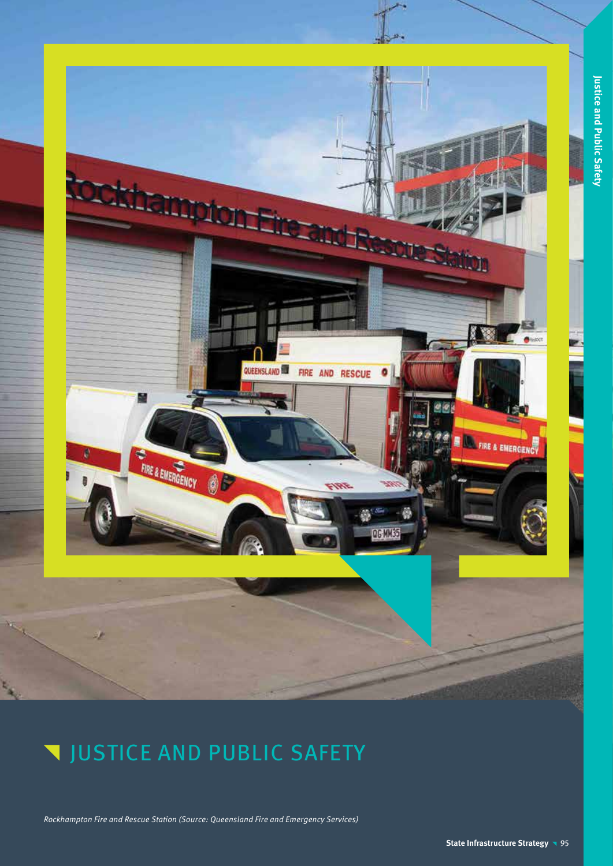

**QG MM35** 

# **V JUSTICE AND PUBLIC SAFETY**

基

FIRE & EMERGENCY

Rockhampton Fire and Rescue Station (Source: Queensland Fire and Emergency Services)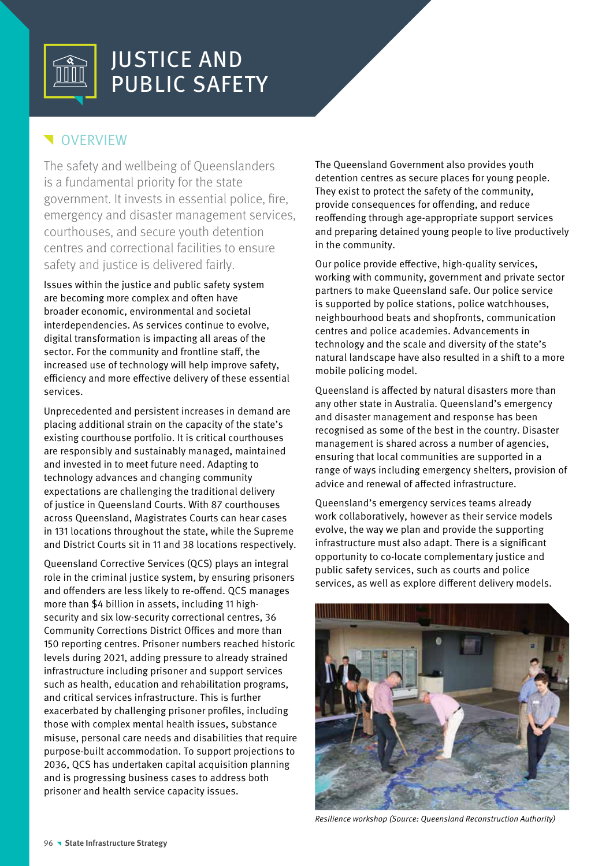

## **V**OVERVIEW

The safety and wellbeing of Queenslanders is a fundamental priority for the state government. It invests in essential police, fire, emergency and disaster management services, courthouses, and secure youth detention centres and correctional facilities to ensure safety and justice is delivered fairly.

Issues within the justice and public safety system are becoming more complex and often have broader economic, environmental and societal interdependencies. As services continue to evolve, digital transformation is impacting all areas of the sector. For the community and frontline staff, the increased use of technology will help improve safety, efficiency and more effective delivery of these essential services.

Unprecedented and persistent increases in demand are placing additional strain on the capacity of the state's existing courthouse portfolio. It is critical courthouses are responsibly and sustainably managed, maintained and invested in to meet future need. Adapting to technology advances and changing community expectations are challenging the traditional delivery of justice in Queensland Courts. With 87 courthouses across Queensland, Magistrates Courts can hear cases in 131 locations throughout the state, while the Supreme and District Courts sit in 11 and 38 locations respectively.

Queensland Corrective Services (QCS) plays an integral role in the criminal justice system, by ensuring prisoners and offenders are less likely to re-offend. QCS manages more than \$4 billion in assets, including 11 highsecurity and six low-security correctional centres, 36 Community Corrections District Offices and more than 150 reporting centres. Prisoner numbers reached historic levels during 2021, adding pressure to already strained infrastructure including prisoner and support services such as health, education and rehabilitation programs, and critical services infrastructure. This is further exacerbated by challenging prisoner profiles, including those with complex mental health issues, substance misuse, personal care needs and disabilities that require purpose-built accommodation. To support projections to 2036, QCS has undertaken capital acquisition planning and is progressing business cases to address both prisoner and health service capacity issues.

The Queensland Government also provides youth detention centres as secure places for young people. They exist to protect the safety of the community, provide consequences for offending, and reduce reoffending through age-appropriate support services and preparing detained young people to live productively in the community.

Our police provide effective, high-quality services, working with community, government and private sector partners to make Queensland safe. Our police service is supported by police stations, police watchhouses, neighbourhood beats and shopfronts, communication centres and police academies. Advancements in technology and the scale and diversity of the state's natural landscape have also resulted in a shift to a more mobile policing model.

Queensland is affected by natural disasters more than any other state in Australia. Queensland's emergency and disaster management and response has been recognised as some of the best in the country. Disaster management is shared across a number of agencies, ensuring that local communities are supported in a range of ways including emergency shelters, provision of advice and renewal of affected infrastructure.

Queensland's emergency services teams already work collaboratively, however as their service models evolve, the way we plan and provide the supporting infrastructure must also adapt. There is a significant opportunity to co-locate complementary justice and public safety services, such as courts and police services, as well as explore different delivery models.



Resilience workshop (Source: Queensland Reconstruction Authority)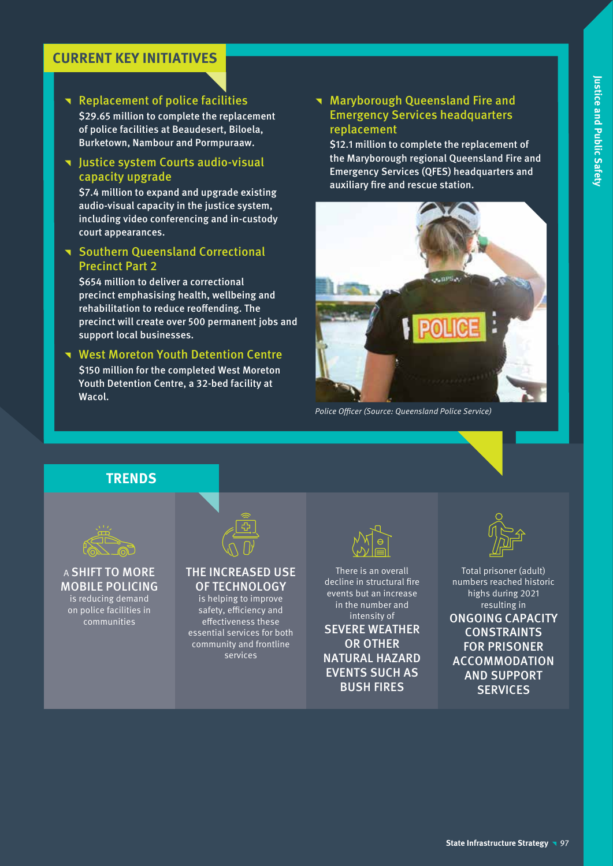### **CURRENT KEY INITIATIVES**

#### Replacement of police facilities

\$29.65 million to complete the replacement of police facilities at Beaudesert, Biloela, Burketown, Nambour and Pormpuraaw.

#### **v** Justice system Courts audio-visual capacity upgrade

\$7.4 million to expand and upgrade existing audio-visual capacity in the justice system, including video conferencing and in-custody court appearances.

#### **T** Southern Queensland Correctional Precinct Part 2

\$654 million to deliver a correctional precinct emphasising health, wellbeing and rehabilitation to reduce reoffending. The precinct will create over 500 permanent jobs and support local businesses.

#### **West Moreton Youth Detention Centre**

\$150 million for the completed West Moreton Youth Detention Centre, a 32-bed facility at Wacol.

#### **Naryborough Queensland Fire and** Emergency Services headquarters replacement

\$12.1 million to complete the replacement of the Maryborough regional Queensland Fire and Emergency Services (QFES) headquarters and auxiliary fire and rescue station.



Police Officer (Source: Queensland Police Service)

#### **TRENDS**



A SHIFT TO MORE MOBILE POLICING is reducing demand

on police facilities in communities

#### THE INCREASED USE OF TECHNOLOGY

is helping to improve safety, efficiency and effectiveness these essential services for both community and frontline services



There is an overall decline in structural fire events but an increase in the number and intensity of SEVERE WEATHER OR OTHER NATURAL HAZARD EVENTS SUCH AS BUSH FIRES



Total prisoner (adult) numbers reached historic highs during 2021 resulting in

ONGOING CAPACITY CONSTRAINTS FOR PRISONER ACCOMMODATION AND SUPPORT **SERVICES**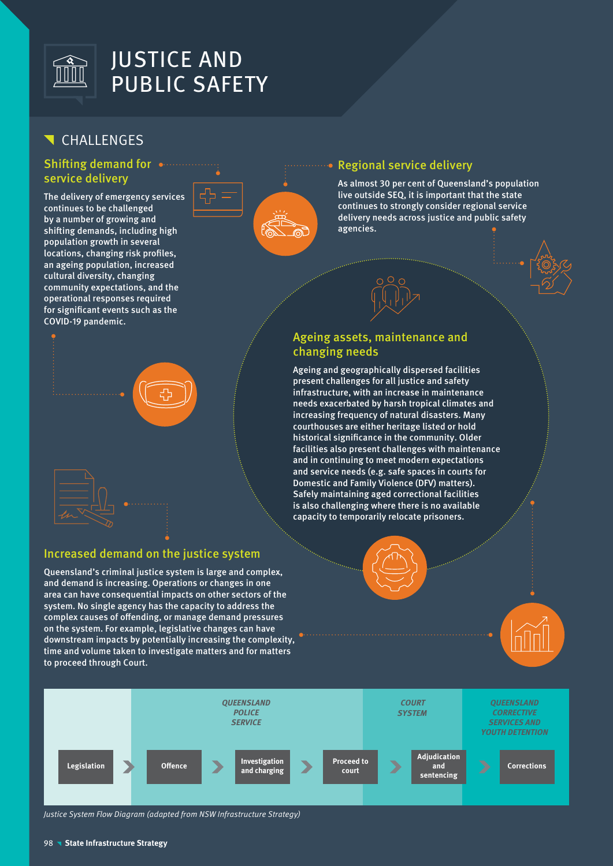

# CHALLENGES

#### Shifting demand for **.......** service delivery

The delivery of emergency services continues to be challenged by a number of growing and shifting demands, including high population growth in several locations, changing risk profiles, an ageing population, increased cultural diversity, changing community expectations, and the operational responses required for significant events such as the COVID-19 pandemic.



#### Regional service delivery

As almost 30 per cent of Queensland's population live outside SEQ, it is important that the state continues to strongly consider regional service delivery needs across justice and public safety agencies.





Ageing and geographically dispersed facilities present challenges for all justice and safety infrastructure, with an increase in maintenance needs exacerbated by harsh tropical climates and increasing frequency of natural disasters. Many courthouses are either heritage listed or hold historical significance in the community. Older facilities also present challenges with maintenance and in continuing to meet modern expectations and service needs (e.g. safe spaces in courts for Domestic and Family Violence (DFV) matters). Safely maintaining aged correctional facilities is also challenging where there is no available capacity to temporarily relocate prisoners.







Justice System Flow Diagram (adapted from NSW Infrastructure Strategy)

Increased demand on the justice system

Queensland's criminal justice system is large and complex, and demand is increasing. Operations or changes in one area can have consequential impacts on other sectors of the system. No single agency has the capacity to address the complex causes of offending, or manage demand pressures on the system. For example, legislative changes can have downstream impacts by potentially increasing the complexity, time and volume taken to investigate matters and for matters

to proceed through Court.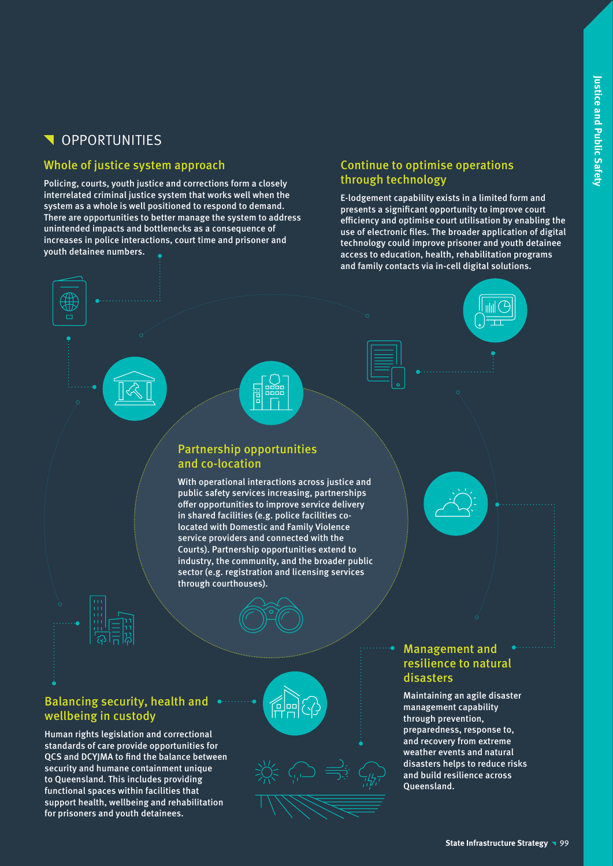# **N** OPPORTUNITIES

#### Whole of justice system approach

Policing, courts, youth justice and corrections form a closely interrelated criminal justice system that works well when the system as a whole is well positioned to respond to demand. There are opportunities to better manage the system to address unintended impacts and bottlenecks as a consequence of increases in police interactions, court time and prisoner and youth detainee numbers.

### Continue to optimise operations through technology

E-lodgement capability exists in a limited form and presents a significant opportunity to improve court efficiency and optimise court utilisation by enabling the use of electronic files. The broader application of digital technology could improve prisoner and youth detainee access to education, health, rehabilitation programs and family contacts via in-cell digital solutions.

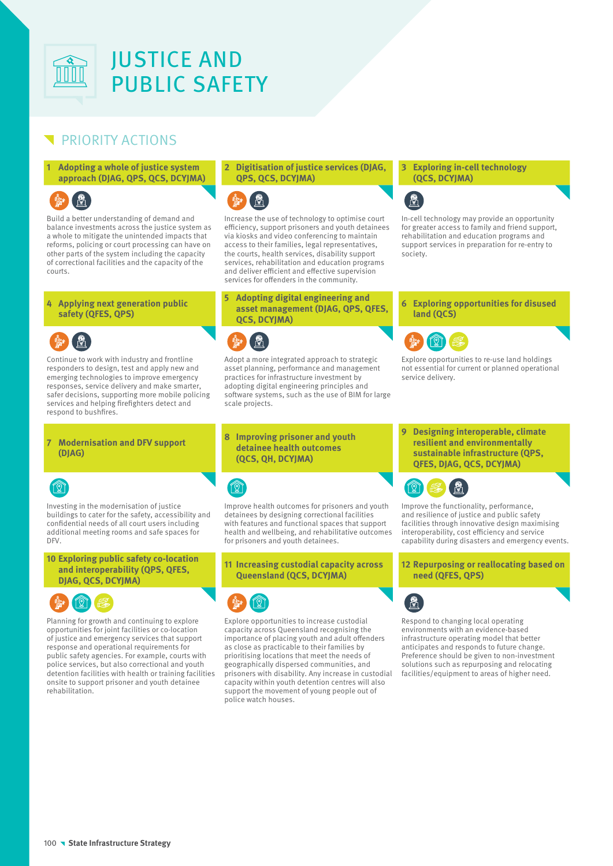

### PRIORITY ACTIONS

**1 Adopting a whole of justice system approach (DJAG, QPS, QCS, DCYJMA)**

Build a better understanding of demand and balance investments across the justice system as a whole to mitigate the unintended impacts that reforms, policing or court processing can have on other parts of the system including the capacity of correctional facilities and the capacity of the courts.

**4 Applying next generation public safety (QFES, QPS)**

Continue to work with industry and frontline responders to design, test and apply new and emerging technologies to improve emergency responses, service delivery and make smarter, safer decisions, supporting more mobile policing services and helping firefighters detect and respond to bushfires.

#### **7 Modernisation and DFV support (DJAG)**

# (d

Investing in the modernisation of justice buildings to cater for the safety, accessibility and confidential needs of all court users including additional meeting rooms and safe spaces for D<sub>FV</sub>

**10 Exploring public safety co-location and interoperability (QPS, QFES, DJAG, QCS, DCYJMA)**



Planning for growth and continuing to explore opportunities for joint facilities or co-location of justice and emergency services that support response and operational requirements for public safety agencies. For example, courts with police services, but also correctional and youth detention facilities with health or training facilities onsite to support prisoner and youth detainee rehabilitation.

#### **2 Digitisation of justice services (DJAG, QPS, QCS, DCYJMA)**



Increase the use of technology to optimise court efficiency, support prisoners and youth detainees via kiosks and video conferencing to maintain access to their families, legal representatives, the courts, health services, disability support services, rehabilitation and education programs and deliver efficient and effective supervision services for offenders in the community.

#### **5 Adopting digital engineering and asset management (DJAG, QPS, QFES, QCS, DCYJMA)**

Adopt a more integrated approach to strategic asset planning, performance and management practices for infrastructure investment by adopting digital engineering principles and software systems, such as the use of BIM for large scale projects.

#### **8 Improving prisoner and youth detainee health outcomes (QCS, QH, DCYJMA)**

<u>(8)</u>

Improve health outcomes for prisoners and youth detainees by designing correctional facilities with features and functional spaces that support health and wellbeing, and rehabilitative outcomes for prisoners and youth detainees.

**11 Increasing custodial capacity across Queensland (QCS, DCYJMA)**



Explore opportunities to increase custodial capacity across Queensland recognising the importance of placing youth and adult offenders as close as practicable to their families by prioritising locations that meet the needs of geographically dispersed communities, and prisoners with disability. Any increase in custodial capacity within youth detention centres will also support the movement of young people out of police watch houses.

**3 Exploring in-cell technology (QCS, DCYJMA)**



In-cell technology may provide an opportunity for greater access to family and friend support, rehabilitation and education programs and support services in preparation for re-entry to society.

**6 Exploring opportunities for disused land (QCS)**



Explore opportunities to re-use land holdings not essential for current or planned operational service delivery.

**9 Designing interoperable, climate resilient and environmentally sustainable infrastructure (QPS, QFES, DJAG, QCS, DCYJMA)**



Improve the functionality, performance, and resilience of justice and public safety facilities through innovative design maximising interoperability, cost efficiency and service capability during disasters and emergency events.

**12 Repurposing or reallocating based on need (QFES, QPS)**



Respond to changing local operating environments with an evidence-based infrastructure operating model that better anticipates and responds to future change. Preference should be given to non-investment solutions such as repurposing and relocating facilities/equipment to areas of higher need.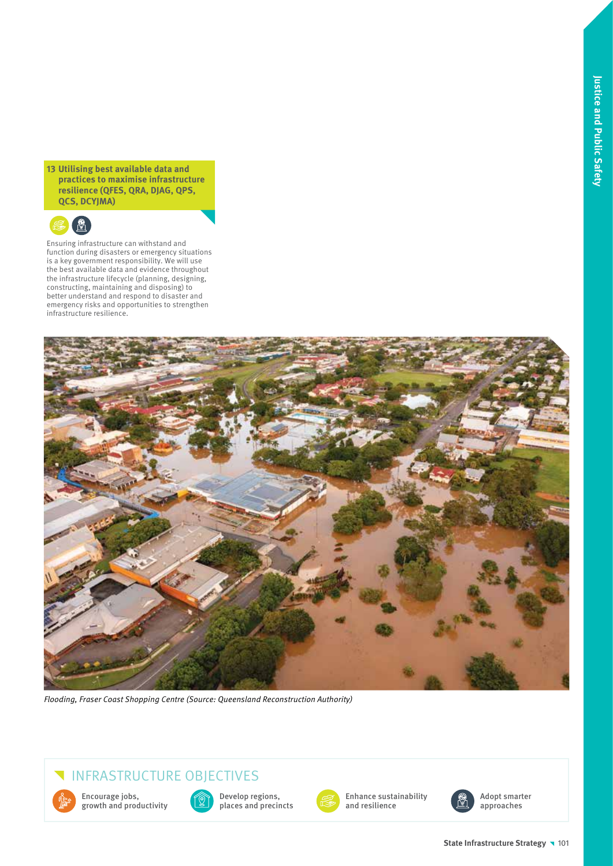**13 Utilising best available data and practices to maximise infrastructure resilience (QFES, QRA, DJAG, QPS, QCS, DCYJMA)**



Ensuring infrastructure can withstand and function during disasters or emergency situations is a key government responsibility. We will use the best available data and evidence throughout the infrastructure lifecycle (planning, designing, constructing, maintaining and disposing) to better understand and respond to disaster and emergency risks and opportunities to strengthen infrastructure resilience.



Flooding, Fraser Coast Shopping Centre (Source: Queensland Reconstruction Authority)

## INFRASTRUCTURE OBJECTIVES

Encourage jobs, growth and productivity



Develop regions, places and precincts



Enhance sustainability and resilience



Adopt smarter approaches

#### **State Infrastructure Strategy 101**